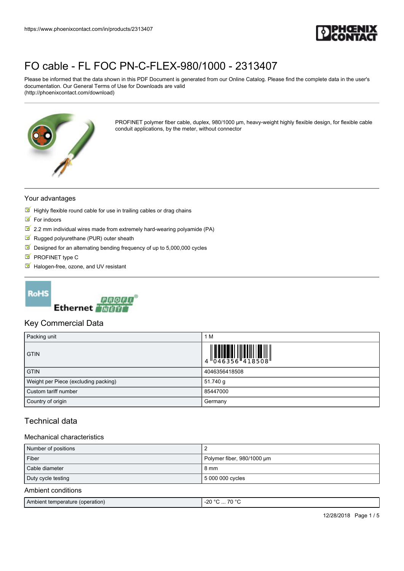

Please be informed that the data shown in this PDF Document is generated from our Online Catalog. Please find the complete data in the user's documentation. Our General Terms of Use for Downloads are valid (http://phoenixcontact.com/download)



PROFINET polymer fiber cable, duplex, 980/1000 µm, heavy-weight highly flexible design, for flexible cable conduit applications, by the meter, without connector

#### Your advantages

- $\blacksquare$  Highly flexible round cable for use in trailing cables or drag chains
- $\blacksquare$  For indoors
- $2.2$  mm individual wires made from extremely hard-wearing polyamide (PA)
- $\blacksquare$  Rugged polyurethane (PUR) outer sheath
- $\blacksquare$  Designed for an alternating bending frequency of up to 5,000,000 cycles
- $\blacksquare$  PROFINET type C
- Halogen-free, ozone, and UV resistant





### Key Commercial Data

| Packing unit                         | M<br>1        |
|--------------------------------------|---------------|
| <b>GTIN</b>                          |               |
| <b>GTIN</b>                          | 4046356418508 |
| Weight per Piece (excluding packing) | 51.740 g      |
| Custom tariff number                 | 85447000      |
| Country of origin                    | Germany       |

## Technical data

### Mechanical characteristics

| Number of positions                    |                            |
|----------------------------------------|----------------------------|
| Fiber                                  | Polymer fiber, 980/1000 um |
| Cable diameter                         | 8 mm                       |
| Duty cycle testing<br>5 000 000 cycles |                            |
| Ambient conditions                     |                            |

|--|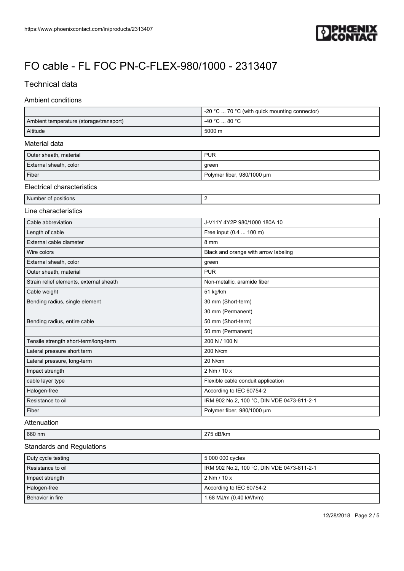

## Technical data

### Ambient conditions

|                                         | -20 °C  70 °C (with quick mounting connector) |
|-----------------------------------------|-----------------------------------------------|
| Ambient temperature (storage/transport) | -40 °C  80 °C                                 |
| Altitude                                | 5000 m                                        |
| Material data                           |                                               |
| Outer sheath, material                  | <b>PUR</b>                                    |
| External sheath, color                  | green                                         |
| Fiber                                   | Polymer fiber, 980/1000 µm                    |
| <b>Electrical characteristics</b>       |                                               |
| Number of positions                     | 2                                             |
| Line characteristics                    |                                               |
| Cable abbreviation                      | J-V11Y 4Y2P 980/1000 180A 10                  |
| Length of cable                         | Free input (0.4  100 m)                       |
| External cable diameter                 | 8 mm                                          |
| Wire colors                             | Black and orange with arrow labeling          |
| External sheath, color                  | green                                         |
| Outer sheath, material                  | <b>PUR</b>                                    |
| Strain relief elements, external sheath | Non-metallic, aramide fiber                   |
| Cable weight                            | 51 kg/km                                      |
| Bending radius, single element          | 30 mm (Short-term)                            |
|                                         | 30 mm (Permanent)                             |
| Bending radius, entire cable            | 50 mm (Short-term)                            |
|                                         | 50 mm (Permanent)                             |
| Tensile strength short-term/long-term   | 200 N / 100 N                                 |
| Lateral pressure short term             | 200 N/cm                                      |
| Lateral pressure, long-term             | 20 N/cm                                       |
| Impact strength                         | 2 Nm / 10 x                                   |
| cable layer type                        | Flexible cable conduit application            |
| Halogen-free                            | According to IEC 60754-2                      |
| Resistance to oil                       | IRM 902 No.2, 100 °C, DIN VDE 0473-811-2-1    |
| Fiber                                   | Polymer fiber, 980/1000 µm                    |

#### Attenuation

| 660 nm                             | $\sim$<br>dB/km |
|------------------------------------|-----------------|
| $\sim$<br>$\overline{\phantom{a}}$ |                 |

#### Standards and Regulations

| Duty cycle testing | 5 000 000 cycles                             |
|--------------------|----------------------------------------------|
| Resistance to oil  | I IRM 902 No.2, 100 °C, DIN VDE 0473-811-2-1 |
| Impact strength    | l 2 Nm / 10 x                                |
| Halogen-free       | According to IEC 60754-2                     |
| Behavior in fire   | 1.68 MJ/m (0.40 kWh/m)                       |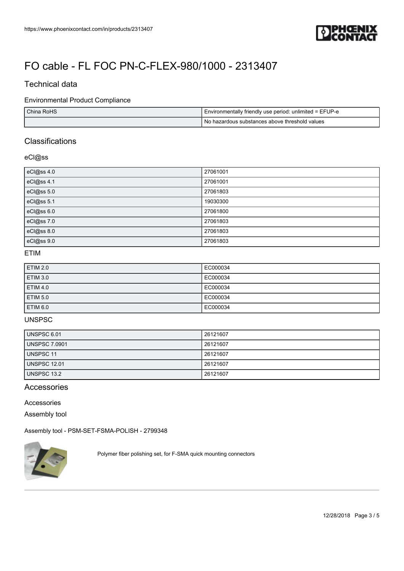

## Technical data

### Environmental Product Compliance

| China RoHS | Environmentally friendly use period: unlimited = EFUP-e |
|------------|---------------------------------------------------------|
|            | No hazardous substances above threshold values          |

## **Classifications**

### eCl@ss

| eCl@ss 4.0 | 27061001 |
|------------|----------|
| eCl@ss 4.1 | 27061001 |
| eCl@ss 5.0 | 27061803 |
| eCl@ss 5.1 | 19030300 |
| eCl@ss 6.0 | 27061800 |
| eCl@ss 7.0 | 27061803 |
| eCl@ss 8.0 | 27061803 |
| eCl@ss 9.0 | 27061803 |

#### ETIM

| <b>ETIM 2.0</b> | EC000034 |
|-----------------|----------|
| <b>ETIM 3.0</b> | EC000034 |
| <b>ETIM 4.0</b> | EC000034 |
| <b>ETIM 5.0</b> | EC000034 |
| <b>ETIM 6.0</b> | EC000034 |

#### UNSPSC

| UNSPSC 6.01         | 26121607 |
|---------------------|----------|
| UNSPSC 7.0901       | 26121607 |
| UNSPSC 11           | 26121607 |
| <b>UNSPSC 12.01</b> | 26121607 |
| l UNSPSC 13.2       | 26121607 |

## Accessories

#### Accessories

Assembly tool

[Assembly tool - PSM-SET-FSMA-POLISH - 2799348](https://www.phoenixcontact.com/in/products/2799348)



Polymer fiber polishing set, for F-SMA quick mounting connectors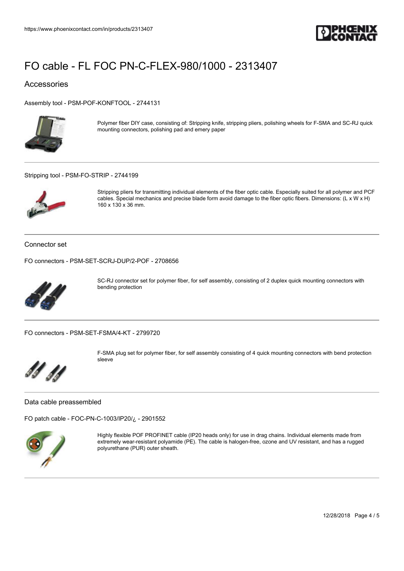

#### Accessories

[Assembly tool - PSM-POF-KONFTOOL - 2744131](https://www.phoenixcontact.com/in/products/2744131)



Polymer fiber DIY case, consisting of: Stripping knife, stripping pliers, polishing wheels for F-SMA and SC-RJ quick mounting connectors, polishing pad and emery paper

[Stripping tool - PSM-FO-STRIP - 2744199](https://www.phoenixcontact.com/in/products/2744199)



Stripping pliers for transmitting individual elements of the fiber optic cable. Especially suited for all polymer and PCF cables. Special mechanics and precise blade form avoid damage to the fiber optic fibers. Dimensions: (L x W x H) 160 x 130 x 36 mm.

Connector set

[FO connectors - PSM-SET-SCRJ-DUP/2-POF - 2708656](https://www.phoenixcontact.com/in/products/2708656)



SC-RJ connector set for polymer fiber, for self assembly, consisting of 2 duplex quick mounting connectors with bending protection

[FO connectors - PSM-SET-FSMA/4-KT - 2799720](https://www.phoenixcontact.com/in/products/2799720)



F-SMA plug set for polymer fiber, for self assembly consisting of 4 quick mounting connectors with bend protection sleeve

Data cable preassembled

[FO patch cable - FOC-PN-C-1003/IP20/¿ - 2901552](https://www.phoenixcontact.com/in/products/2901552)



Highly flexible POF PROFINET cable (IP20 heads only) for use in drag chains. Individual elements made from extremely wear-resistant polyamide (PE). The cable is halogen-free, ozone and UV resistant, and has a rugged polyurethane (PUR) outer sheath.